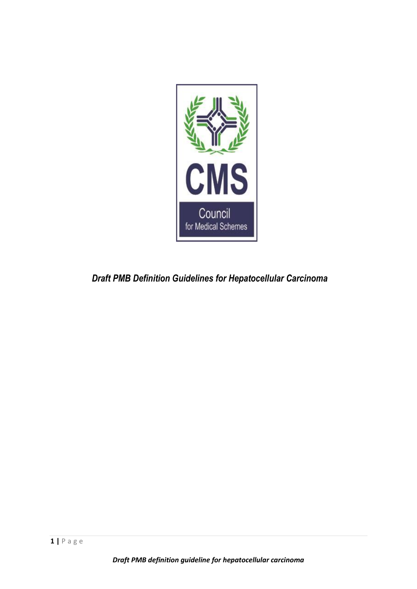

*Draft PMB Definition Guidelines for Hepatocellular Carcinoma*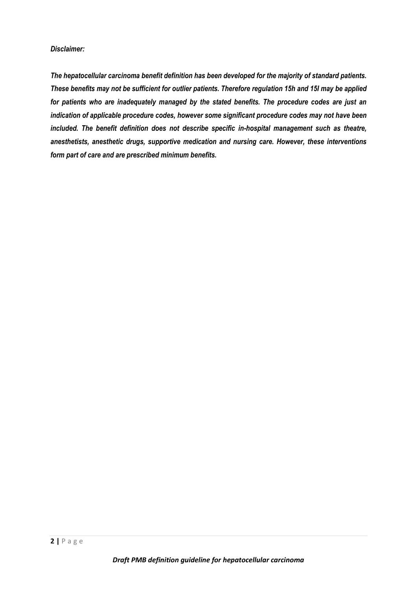## *Disclaimer:*

*The hepatocellular carcinoma benefit definition has been developed for the majority of standard patients. These benefits may not be sufficient for outlier patients. Therefore regulation 15h and 15I may be applied for patients who are inadequately managed by the stated benefits. The procedure codes are just an indication of applicable procedure codes, however some significant procedure codes may not have been included. The benefit definition does not describe specific in-hospital management such as theatre, anesthetists, anesthetic drugs, supportive medication and nursing care. However, these interventions form part of care and are prescribed minimum benefits.*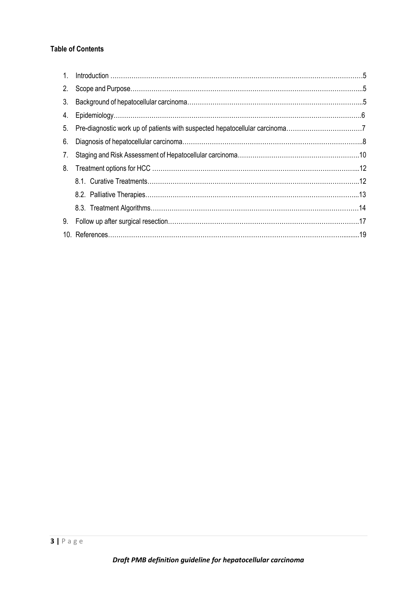# **Table of Contents**

| 1 <sup>1</sup> |                                                                                |  |
|----------------|--------------------------------------------------------------------------------|--|
| 2.             |                                                                                |  |
| 3.             |                                                                                |  |
| 4.             |                                                                                |  |
|                | 5. Pre-diagnostic work up of patients with suspected hepatocellular carcinoma7 |  |
| 6.             |                                                                                |  |
| 7.             |                                                                                |  |
| 8.             |                                                                                |  |
|                |                                                                                |  |
|                |                                                                                |  |
|                |                                                                                |  |
| 9.             |                                                                                |  |
|                |                                                                                |  |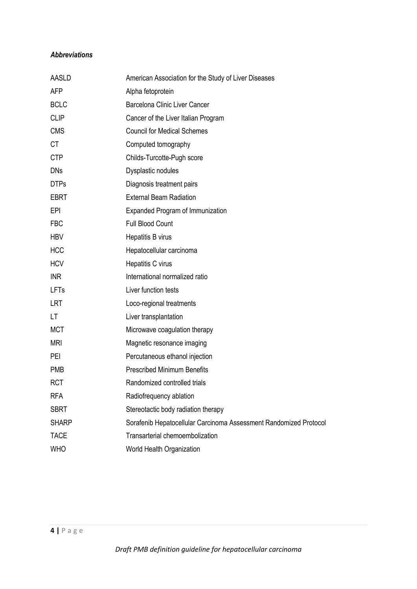# *Abbreviations*

| AASLD        | American Association for the Study of Liver Diseases              |
|--------------|-------------------------------------------------------------------|
| <b>AFP</b>   | Alpha fetoprotein                                                 |
| <b>BCLC</b>  | Barcelona Clinic Liver Cancer                                     |
| <b>CLIP</b>  | Cancer of the Liver Italian Program                               |
| <b>CMS</b>   | <b>Council for Medical Schemes</b>                                |
| <b>CT</b>    | Computed tomography                                               |
| <b>CTP</b>   | Childs-Turcotte-Pugh score                                        |
| <b>DNs</b>   | Dysplastic nodules                                                |
| <b>DTPs</b>  | Diagnosis treatment pairs                                         |
| <b>EBRT</b>  | <b>External Beam Radiation</b>                                    |
| <b>EPI</b>   | <b>Expanded Program of Immunization</b>                           |
| <b>FBC</b>   | Full Blood Count                                                  |
| <b>HBV</b>   | Hepatitis B virus                                                 |
| <b>HCC</b>   | Hepatocellular carcinoma                                          |
| <b>HCV</b>   | Hepatitis C virus                                                 |
| <b>INR</b>   | International normalized ratio                                    |
| <b>LFTs</b>  | Liver function tests                                              |
| <b>LRT</b>   | Loco-regional treatments                                          |
| LT           | Liver transplantation                                             |
| <b>MCT</b>   | Microwave coagulation therapy                                     |
| <b>MRI</b>   | Magnetic resonance imaging                                        |
| PEI          | Percutaneous ethanol injection                                    |
| <b>PMB</b>   | <b>Prescribed Minimum Benefits</b>                                |
| <b>RCT</b>   | Randomized controlled trials                                      |
| <b>RFA</b>   | Radiofrequency ablation                                           |
| <b>SBRT</b>  | Stereotactic body radiation therapy                               |
| <b>SHARP</b> | Sorafenib Hepatocellular Carcinoma Assessment Randomized Protocol |
| <b>TACE</b>  | Transarterial chemoembolization                                   |
| <b>WHO</b>   | World Health Organization                                         |
|              |                                                                   |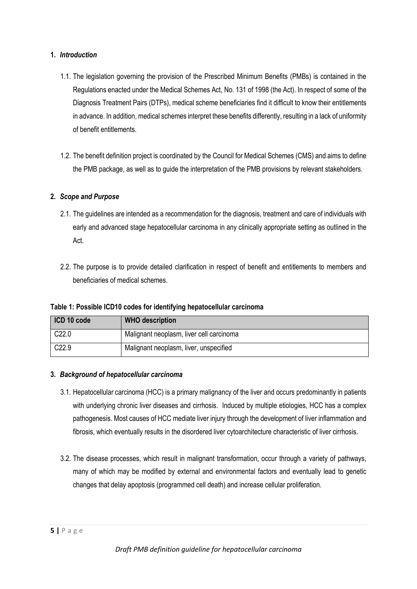# **1.** *Introduction*

- 1.1. The legislation governing the provision of the Prescribed Minimum Benefits (PMBs) is contained in the Regulations enacted under the Medical Schemes Act, No. 131 of 1998 (the Act). In respect of some of the Diagnosis Treatment Pairs (DTPs), medical scheme beneficiaries find it difficult to know their entitlements in advance. In addition, medical schemes interpret these benefits differently, resulting in a lack of uniformity of benefit entitlements.
- 1.2. The benefit definition project is coordinated by the Council for Medical Schemes (CMS) and aims to define the PMB package, as well as to guide the interpretation of the PMB provisions by relevant stakeholders.

# **2.** *Scope and Purpose*

- 2.1. The guidelines are intended as a recommendation for the diagnosis, treatment and care of individuals with early and advanced stage hepatocellular carcinoma in any clinically appropriate setting as outlined in the Act.
- 2.2. The purpose is to provide detailed clarification in respect of benefit and entitlements to members and beneficiaries of medical schemes.

**Table 1: Possible ICD10 codes for identifying hepatocellular carcinoma**

| ICD 10 code       | <b>WHO</b> description                   |
|-------------------|------------------------------------------|
| C <sub>22.0</sub> | Malignant neoplasm, liver cell carcinoma |
| $\mid$ C22.9      | Malignant neoplasm, liver, unspecified   |

## **3.** *Background of hepatocellular carcinoma*

- 3.1. Hepatocellular carcinoma (HCC) is a primary malignancy of the liver and occurs predominantly in patients with underlying chronic liver diseases and cirrhosis. Induced by multiple etiologies, HCC has a complex pathogenesis. Most causes of HCC mediate liver injury through the development of liver inflammation and fibrosis, which eventually results in the disordered liver cytoarchitecture characteristic of liver cirrhosis.
- 3.2. The disease processes, which result in malignant transformation, occur through a variety of pathways, many of which may be modified by external and environmental factors and eventually lead to genetic changes that delay apoptosis (programmed cell death) and increase cellular proliferation.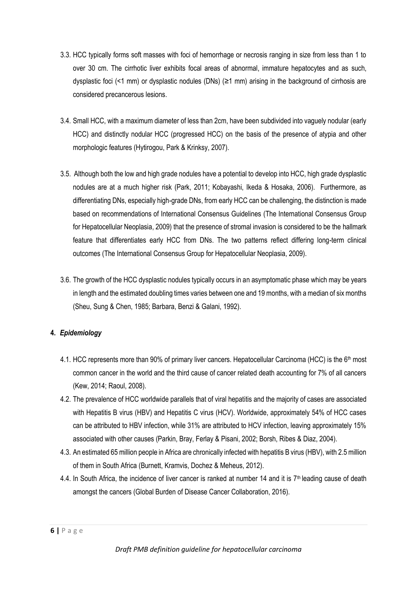- 3.3. HCC typically forms soft masses with foci of hemorrhage or necrosis ranging in size from less than 1 to over 30 cm. The cirrhotic liver exhibits focal areas of abnormal, immature hepatocytes and as such, dysplastic foci (<1 mm) or dysplastic nodules (DNs) (≥1 mm) arising in the background of cirrhosis are considered precancerous lesions.
- 3.4. Small HCC, with a maximum diameter of less than 2cm, have been subdivided into vaguely nodular (early HCC) and distinctly nodular HCC (progressed HCC) on the basis of the presence of atypia and other morphologic features (Hytirogou, Park & Krinksy, 2007).
- 3.5. Although both the low and high grade nodules have a potential to develop into HCC, high grade dysplastic nodules are at a much higher risk (Park, 2011; Kobayashi, Ikeda & Hosaka, 2006). Furthermore, as differentiating DNs, especially high-grade DNs, from early HCC can be challenging, the distinction is made based on recommendations of International Consensus Guidelines (The International Consensus Group for Hepatocellular Neoplasia, 2009) that the presence of stromal invasion is considered to be the hallmark feature that differentiates early HCC from DNs. The two patterns reflect differing long-term clinical outcomes (The International Consensus Group for Hepatocellular Neoplasia, 2009).
- 3.6. The growth of the HCC dysplastic nodules typically occurs in an asymptomatic phase which may be years in length and the estimated doubling times varies between one and 19 months, with a median of six months (Sheu, Sung & Chen, 1985; Barbara, Benzi & Galani, 1992).

# **4.** *Epidemiology*

- 4.1. HCC represents more than 90% of primary liver cancers. Hepatocellular Carcinoma (HCC) is the 6<sup>th</sup> most common cancer in the world and the third cause of cancer related death accounting for 7% of all cancers (Kew, 2014; Raoul, 2008).
- 4.2. The prevalence of HCC worldwide parallels that of viral hepatitis and the majority of cases are associated with Hepatitis B virus (HBV) and Hepatitis C virus (HCV). Worldwide, approximately 54% of HCC cases can be attributed to HBV infection, while 31% are attributed to HCV infection, leaving approximately 15% associated with other causes (Parkin, Bray, Ferlay & Pisani, 2002; Borsh, Ribes & Diaz, 2004).
- 4.3. An estimated 65 million people in Africa are chronically infected with hepatitis B virus (HBV), with 2.5 million of them in South Africa (Burnett, Kramvis, Dochez & Meheus, 2012).
- 4.4. In South Africa, the incidence of liver cancer is ranked at number 14 and it is  $7<sup>th</sup>$  leading cause of death amongst the cancers (Global Burden of Disease Cancer Collaboration, 2016).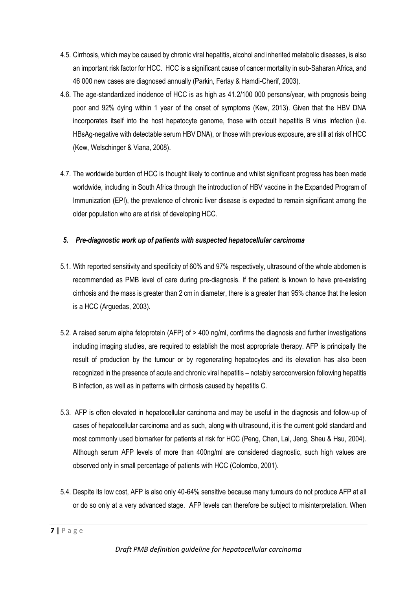- 4.5. Cirrhosis, which may be caused by chronic viral hepatitis, alcohol and inherited metabolic diseases, is also an important risk factor for HCC. HCC is a significant cause of cancer mortality in sub-Saharan Africa, and 46 000 new cases are diagnosed annually (Parkin, Ferlay & Hamdi-Cherif, 2003).
- 4.6. The age-standardized incidence of HCC is as high as 41.2/100 000 persons/year, with prognosis being poor and 92% dying within 1 year of the onset of symptoms (Kew, 2013). Given that the HBV DNA incorporates itself into the host hepatocyte genome, those with occult hepatitis B virus infection (i.e. HBsAg-negative with detectable serum HBV DNA), or those with previous exposure, are still at risk of HCC (Kew, Welschinger & Viana, 2008).
- 4.7. The worldwide burden of HCC is thought likely to continue and whilst significant progress has been made worldwide, including in South Africa through the introduction of HBV vaccine in the Expanded Program of Immunization (EPI), the prevalence of chronic liver disease is expected to remain significant among the older population who are at risk of developing HCC.

# *5. Pre-diagnostic work up of patients with suspected hepatocellular carcinoma*

- 5.1. With reported sensitivity and specificity of 60% and 97% respectively, ultrasound of the whole abdomen is recommended as PMB level of care during pre-diagnosis. If the patient is known to have pre-existing cirrhosis and the mass is greater than 2 cm in diameter, there is a greater than 95% chance that the lesion is a HCC (Arguedas, 2003).
- 5.2. A raised serum alpha fetoprotein (AFP) of > 400 ng/ml, confirms the diagnosis and further investigations including imaging studies, are required to establish the most appropriate therapy. AFP is principally the result of production by the tumour or by regenerating hepatocytes and its elevation has also been recognized in the presence of acute and chronic viral hepatitis – notably seroconversion following hepatitis B infection, as well as in patterns with cirrhosis caused by hepatitis C.
- 5.3. AFP is often elevated in hepatocellular carcinoma and may be useful in the diagnosis and follow-up of cases of hepatocellular carcinoma and as such, along with ultrasound, it is the current gold standard and most commonly used biomarker for patients at risk for HCC (Peng, Chen, Lai, Jeng, Sheu & Hsu, 2004). Although serum AFP levels of more than 400ng/ml are considered diagnostic, such high values are observed only in small percentage of patients with HCC (Colombo, 2001).
- 5.4. Despite its low cost, AFP is also only 40-64% sensitive because many tumours do not produce AFP at all or do so only at a very advanced stage. AFP levels can therefore be subject to misinterpretation. When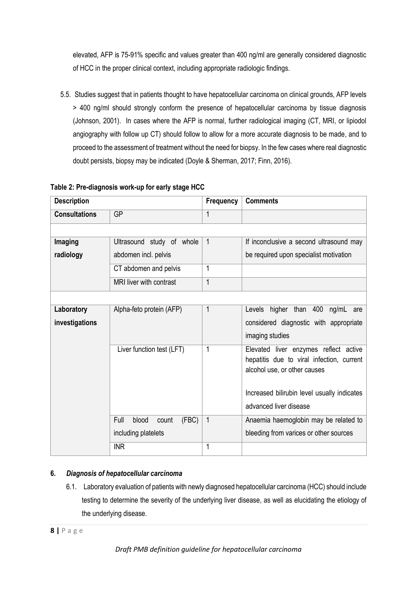elevated, AFP is 75-91% specific and values greater than 400 ng/ml are generally considered diagnostic of HCC in the proper clinical context, including appropriate radiologic findings.

5.5. Studies suggest that in patients thought to have hepatocellular carcinoma on clinical grounds, AFP levels > 400 ng/ml should strongly conform the presence of hepatocellular carcinoma by tissue diagnosis (Johnson, 2001). In cases where the AFP is normal, further radiological imaging (CT, MRI, or lipiodol angiography with follow up CT) should follow to allow for a more accurate diagnosis to be made, and to proceed to the assessment of treatment without the need for biopsy. In the few cases where real diagnostic doubt persists, biopsy may be indicated (Doyle & Sherman, 2017; Finn, 2016).

| <b>Description</b>   |                                 | Frequency    | <b>Comments</b>                                                           |
|----------------------|---------------------------------|--------------|---------------------------------------------------------------------------|
| <b>Consultations</b> | <b>GP</b>                       | $\mathbf{1}$ |                                                                           |
|                      |                                 |              |                                                                           |
| Imaging              | Ultrasound study of whole       | $\mathbf{1}$ | If inconclusive a second ultrasound may                                   |
| radiology            | abdomen incl. pelvis            |              | be required upon specialist motivation                                    |
|                      | CT abdomen and pelvis           | 1            |                                                                           |
|                      | MRI liver with contrast         | $\mathbf{1}$ |                                                                           |
|                      |                                 |              |                                                                           |
| Laboratory           | Alpha-feto protein (AFP)        | $\mathbf{1}$ | Levels higher than 400 ng/mL are                                          |
| investigations       |                                 |              | considered diagnostic with appropriate                                    |
|                      |                                 |              | imaging studies                                                           |
|                      | Liver function test (LFT)       | 1            | Elevated liver enzymes reflect active                                     |
|                      |                                 |              | hepatitis due to viral infection, current<br>alcohol use, or other causes |
|                      |                                 |              |                                                                           |
|                      |                                 |              | Increased bilirubin level usually indicates                               |
|                      |                                 |              | advanced liver disease                                                    |
|                      | Full<br>(FBC)<br>blood<br>count | $\mathbf{1}$ | Anaemia haemoglobin may be related to                                     |
|                      | including platelets             |              | bleeding from varices or other sources                                    |
|                      | <b>INR</b>                      | 1            |                                                                           |

## **Table 2: Pre-diagnosis work-up for early stage HCC**

# **6.** *Diagnosis of hepatocellular carcinoma*

6.1. Laboratory evaluation of patients with newly diagnosed hepatocellular carcinoma (HCC) should include testing to determine the severity of the underlying liver disease, as well as elucidating the etiology of the underlying disease.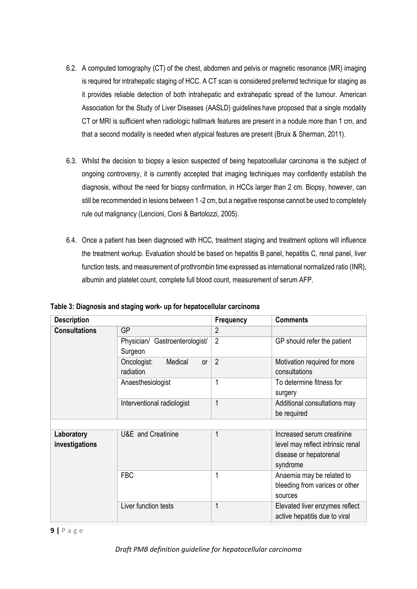- 6.2. A computed tomography (CT) of the chest, abdomen and pelvis or magnetic resonance (MR) imaging is required for intrahepatic staging of HCC. A CT scan is considered preferred technique for staging as it provides reliable detection of both intrahepatic and extrahepatic spread of the tumour. American Association for the Study of Liver Diseases (AASLD) guidelines have proposed that a single modality CT or MRI is sufficient when radiologic hallmark features are present in a nodule more than 1 cm, and that a second modality is needed when atypical features are present (Bruix & Sherman, 2011).
- 6.3. Whilst the decision to biopsy a lesion suspected of being hepatocellular carcinoma is the subject of ongoing controversy, it is currently accepted that imaging techniques may confidently establish the diagnosis, without the need for biopsy confirmation, in HCCs larger than 2 cm. Biopsy, however, can still be recommended in lesions between 1 -2 cm, but a negative response cannot be used to completely rule out malignancy (Lencioni, Cioni & Bartolozzi, 2005).
- 6.4. Once a patient has been diagnosed with HCC, treatment staging and treatment options will influence the treatment workup. Evaluation should be based on hepatitis B panel, hepatitis C, renal panel, liver function tests, and measurement of prothrombin time expressed as international normalized ratio (INR), albumin and platelet count, complete full blood count, measurement of serum AFP.

| Table 3: Diagnosis and staging work- up for hepatocellular carcinoma |  |
|----------------------------------------------------------------------|--|
|----------------------------------------------------------------------|--|

| <b>Description</b>           |                                           | <b>Frequency</b> | <b>Comments</b>                                                                                       |
|------------------------------|-------------------------------------------|------------------|-------------------------------------------------------------------------------------------------------|
| <b>Consultations</b>         | <b>GP</b>                                 | 2                |                                                                                                       |
|                              | Physician/ Gastroenterologist/<br>Surgeon | $\overline{2}$   | GP should refer the patient                                                                           |
|                              | Oncologist:<br>Medical<br>or<br>radiation | $\overline{2}$   | Motivation required for more<br>consultations                                                         |
|                              | Anaesthesiologist                         | 1                | To determine fitness for<br>surgery                                                                   |
|                              | Interventional radiologist                | 1                | Additional consultations may<br>be required                                                           |
|                              |                                           |                  |                                                                                                       |
| Laboratory<br>investigations | U&E and Creatinine                        | 1                | Increased serum creatinine<br>level may reflect intrinsic renal<br>disease or hepatorenal<br>syndrome |
|                              | <b>FBC</b>                                | 1                | Anaemia may be related to<br>bleeding from varices or other<br>sources                                |
|                              | Liver function tests                      | 1                | Elevated liver enzymes reflect<br>active hepatitis due to viral                                       |

#### **9 |** P a g e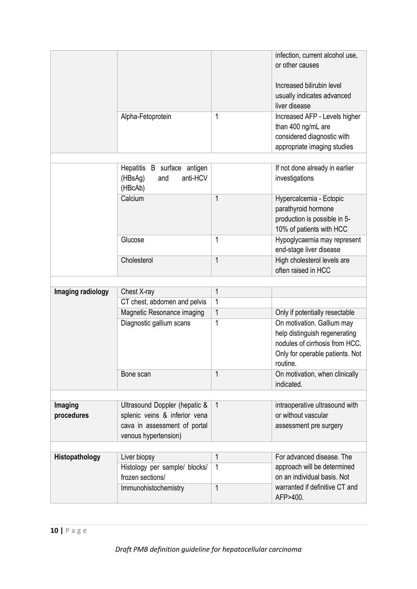|                       | Alpha-Fetoprotein                                                                                                      | 1                | infection, current alcohol use,<br>or other causes<br>Increased bilirubin level<br>usually indicates advanced<br>liver disease<br>Increased AFP - Levels higher<br>than 400 ng/mL are<br>considered diagnostic with<br>appropriate imaging studies |
|-----------------------|------------------------------------------------------------------------------------------------------------------------|------------------|----------------------------------------------------------------------------------------------------------------------------------------------------------------------------------------------------------------------------------------------------|
|                       |                                                                                                                        |                  |                                                                                                                                                                                                                                                    |
|                       | Hepatitis B surface antigen<br>anti-HCV<br>(HBsAg)<br>and<br>(HBcAb)                                                   |                  | If not done already in earlier<br>investigations                                                                                                                                                                                                   |
|                       | Calcium                                                                                                                | $\mathbf{1}$     | Hypercalcemia - Ectopic<br>parathyroid hormone<br>production is possible in 5-<br>10% of patients with HCC                                                                                                                                         |
|                       | Glucose                                                                                                                | 1                | Hypoglycaemia may represent<br>end-stage liver disease                                                                                                                                                                                             |
|                       | Cholesterol                                                                                                            | 1                | High cholesterol levels are<br>often raised in HCC                                                                                                                                                                                                 |
|                       |                                                                                                                        |                  |                                                                                                                                                                                                                                                    |
| Imaging radiology     | Chest X-ray                                                                                                            | $\mathbf{1}$     |                                                                                                                                                                                                                                                    |
|                       | CT chest, abdomen and pelvis<br>Magnetic Resonance imaging                                                             | 1<br>$\mathbf 1$ | Only if potentially resectable                                                                                                                                                                                                                     |
|                       | Diagnostic gallium scans                                                                                               | 1                | On motivation. Gallium may                                                                                                                                                                                                                         |
|                       |                                                                                                                        |                  | help distinguish regenerating<br>nodules of cirrhosis from HCC.<br>Only for operable patients. Not<br>routine.                                                                                                                                     |
|                       | Bone scan                                                                                                              | 1                | On motivation, when clinically<br>indicated.                                                                                                                                                                                                       |
|                       |                                                                                                                        |                  |                                                                                                                                                                                                                                                    |
| Imaging<br>procedures | Ultrasound Doppler (hepatic &<br>splenic veins & inferior vena<br>cava in assessment of portal<br>venous hypertension) | $\mathbf{1}$     | intraoperative ultrasound with<br>or without vascular<br>assessment pre surgery                                                                                                                                                                    |
|                       |                                                                                                                        |                  |                                                                                                                                                                                                                                                    |
| Histopathology        | Liver biopsy<br>Histology per sample/ blocks/<br>frozen sections/                                                      | 1<br>1           | For advanced disease. The<br>approach will be determined<br>on an individual basis. Not                                                                                                                                                            |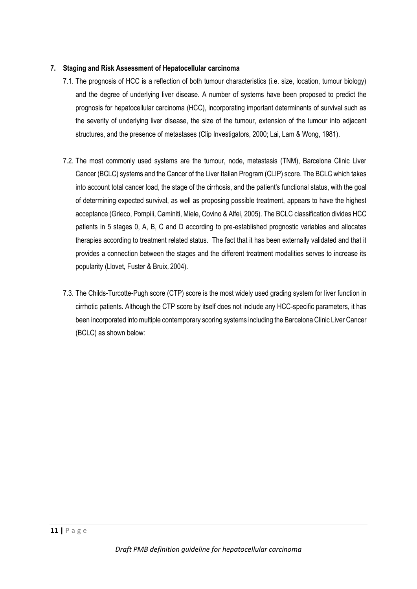## **7. Staging and Risk Assessment of Hepatocellular carcinoma**

- 7.1. The prognosis of HCC is a reflection of both tumour characteristics (i.e. size, location, tumour biology) and the degree of underlying liver disease. A number of systems have been proposed to predict the prognosis for hepatocellular carcinoma (HCC), incorporating important determinants of survival such as the severity of underlying liver disease, the size of the tumour, extension of the tumour into adjacent structures, and the presence of metastases (Clip Investigators, 2000; Lai, Lam & Wong, 1981).
- 7.2. The most commonly used systems are the tumour, node, metastasis (TNM), Barcelona Clinic Liver Cancer (BCLC) systems and the Cancer of the Liver Italian Program (CLIP) score. The BCLC which takes into account total cancer load, the stage of the cirrhosis, and the patient's functional status, with the goal of determining expected survival, as well as proposing possible treatment, appears to have the highest acceptance (Grieco, Pompili, Caminiti, Miele, Covino & Alfei*,* 2005). The BCLC classification divides HCC patients in 5 stages 0, A, B, C and D according to pre-established prognostic variables and allocates therapies according to treatment related status. The fact that it has been externally validated and that it provides a connection between the stages and the different treatment modalities serves to increase its popularity (Llovet*,* Fuster & Bruix*,* 2004).
- 7.3. The Childs-Turcotte-Pugh score (CTP) score is the most widely used grading system for liver function in cirrhotic patients. Although the CTP score by itself does not include any HCC-specific parameters, it has been incorporated into multiple contemporary scoring systems including the Barcelona Clinic Liver Cancer (BCLC) as shown below: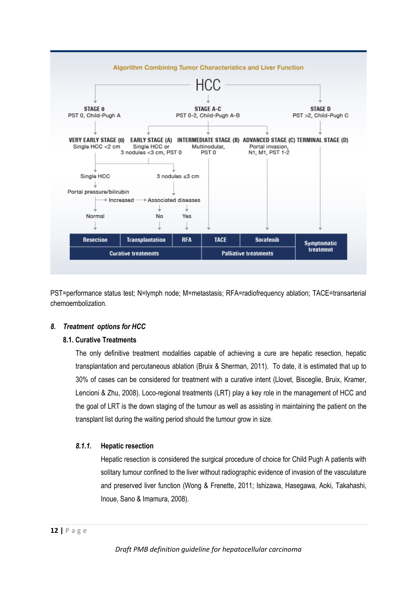

PST=performance status test; N=lymph node; M=metastasis; RFA=radiofrequency ablation; TACE=transarterial chemoembolization.

## *8. Treatment options for HCC*

## **8.1. Curative Treatments**

The only definitive treatment modalities capable of achieving a cure are hepatic resection, hepatic transplantation and percutaneous ablation (Bruix & Sherman, 2011). To date, it is estimated that up to 30% of cases can be considered for treatment with a curative intent (Llovet, Bisceglie, Bruix, Kramer, Lencioni & Zhu, 2008). Loco-regional treatments (LRT) play a key role in the management of HCC and the goal of LRT is the down staging of the tumour as well as assisting in maintaining the patient on the transplant list during the waiting period should the tumour grow in size.

## *8.1.1.* **Hepatic resection**

Hepatic resection is considered the surgical procedure of choice for Child Pugh A patients with solitary tumour confined to the liver without radiographic evidence of invasion of the vasculature and preserved liver function (Wong & Frenette, 2011; Ishizawa, Hasegawa, Aoki, Takahashi, Inoue, Sano & Imamura, 2008).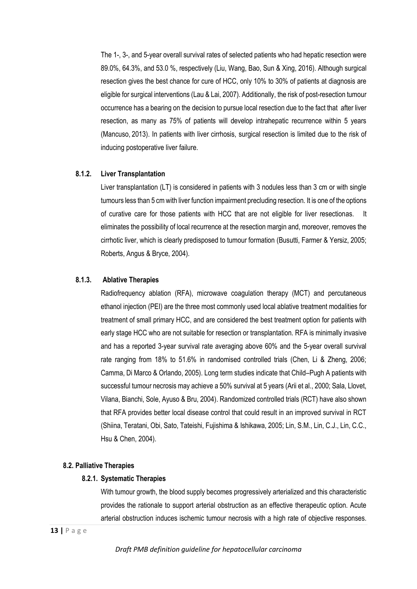The 1-, 3-, and 5-year overall survival rates of selected patients who had hepatic resection were 89.0%, 64.3%, and 53.0 %, respectively (Liu, Wang, Bao, Sun & Xing, 2016). Although surgical resection gives the best chance for cure of HCC, only 10% to 30% of patients at diagnosis are eligible for surgical interventions (Lau & Lai, 2007). Additionally, the risk of post-resection tumour occurrence has a bearing on the decision to pursue local resection due to the fact that after liver resection, as many as 75% of patients will develop intrahepatic recurrence within 5 years (Mancuso, 2013). In patients with liver cirrhosis, surgical resection is limited due to the risk of inducing postoperative liver failure.

## **8.1.2. Liver Transplantation**

Liver transplantation (LT) is considered in patients with 3 nodules less than 3 cm or with single tumours less than 5 cm with liver function impairment precluding resection. It is one of the options of curative care for those patients with HCC that are not eligible for liver resectionas. It eliminates the possibility of local recurrence at the resection margin and, moreover, removes the cirrhotic liver, which is clearly predisposed to tumour formation (Busutti, Farmer & Yersiz, 2005; Roberts, Angus & Bryce, 2004).

## **8.1.3. Ablative Therapies**

Radiofrequency ablation (RFA), microwave coagulation therapy (MCT) and percutaneous ethanol injection (PEI) are the three most commonly used local ablative treatment modalities for treatment of small primary HCC, and are considered the best treatment option for patients with early stage HCC who are not suitable for resection or transplantation. RFA is minimally invasive and has a reported 3-year survival rate averaging above 60% and the 5-year overall survival rate ranging from 18% to 51.6% in randomised controlled trials (Chen, Li & Zheng, 2006; Camma, Di Marco & Orlando, 2005). Long term studies indicate that Child–Pugh A patients with successful tumour necrosis may achieve a 50% survival at 5 years (Arii et al., 2000; Sala, Llovet, Vilana, Bianchi, Sole, Ayuso & Bru, 2004). Randomized controlled trials (RCT) have also shown that RFA provides better local disease control that could result in an improved survival in RCT (Shiina, Teratani, Obi, Sato, Tateishi, Fujishima & Ishikawa, 2005; Lin, S.M., Lin, C.J., Lin, C.C., Hsu & Chen, 2004).

#### **8.2. Palliative Therapies**

#### **8.2.1. Systematic Therapies**

With tumour growth, the blood supply becomes progressively arterialized and this characteristic provides the rationale to support arterial obstruction as an effective therapeutic option. Acute arterial obstruction induces ischemic tumour necrosis with a high rate of objective responses.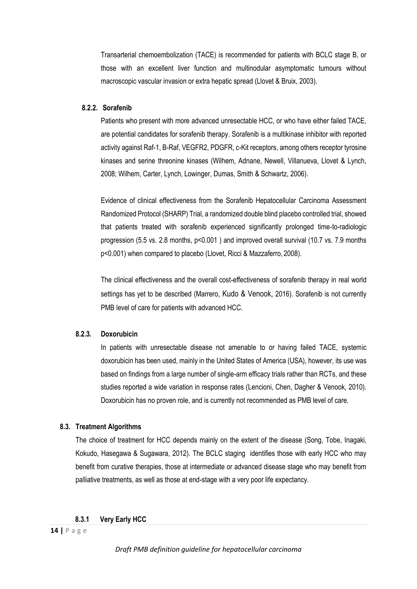Transarterial chemoembolization (TACE) is recommended for patients with BCLC stage B, or those with an excellent liver function and multinodular asymptomatic tumours without macroscopic vascular invasion or extra hepatic spread (Llovet & Bruix, 2003).

#### **8.2.2. Sorafenib**

Patients who present with more advanced unresectable HCC, or who have either failed TACE, are potential candidates for sorafenib therapy. Sorafenib is a multikinase inhibitor with reported activity against Raf-1, B-Raf, VEGFR2, PDGFR, c-Kit receptors, among others receptor tyrosine kinases and serine threonine kinases (Wilhem, Adnane, Newell, Villanueva, Llovet & Lynch, 2008; Wilhem, Carter, Lynch, Lowinger, Dumas, Smith & Schwartz, 2006).

Evidence of clinical effectiveness from the Sorafenib Hepatocellular Carcinoma Assessment Randomized Protocol (SHARP) Trial, a randomized double blind placebo controlled trial, showed that patients treated with sorafenib experienced significantly prolonged time-to-radiologic progression (5.5 vs. 2.8 months, p<0.001 ) and improved overall survival (10.7 vs. 7.9 months p<0.001) when compared to placebo (Llovet, Ricci & Mazzaferro, 2008).

The clinical effectiveness and the overall cost-effectiveness of sorafenib therapy in real world settings has yet to be described (Marrero, Kudo & Venook, 2016). Sorafenib is not currently PMB level of care for patients with advanced HCC.

#### **8.2.3. Doxorubicin**

In patients with unresectable disease not amenable to or having failed TACE, systemic doxorubicin has been used, mainly in the United States of America (USA), however, its use was based on findings from a large number of single-arm efficacy trials rather than RCTs, and these studies reported a wide variation in response rates (Lencioni, Chen, Dagher & Venook, 2010). Doxorubicin has no proven role, and is currently not recommended as PMB level of care.

#### **8.3. Treatment Algorithms**

The choice of treatment for HCC depends mainly on the extent of the disease (Song, Tobe, Inagaki, Kokudo, Hasegawa & Sugawara, 2012). The BCLC staging identifies those with early HCC who may benefit from curative therapies, those at intermediate or advanced disease stage who may benefit from palliative treatments, as well as those at end-stage with a very poor life expectancy.

#### **8.3.1 Very Early HCC**

*Draft PMB definition guideline for hepatocellular carcinoma*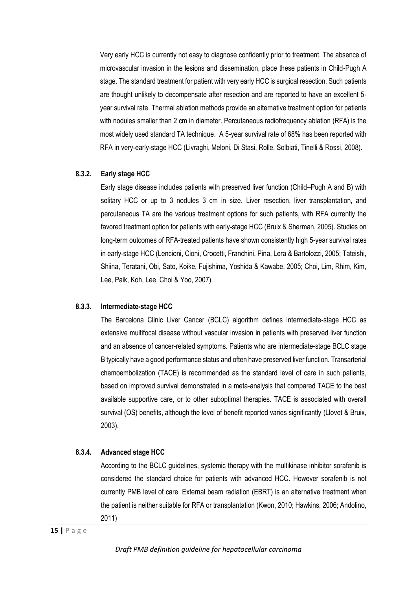Very early HCC is currently not easy to diagnose confidently prior to treatment. The absence of microvascular invasion in the lesions and dissemination, place these patients in Child-Pugh A stage. The standard treatment for patient with very early HCC is surgical resection. Such patients are thought unlikely to decompensate after resection and are reported to have an excellent 5 year survival rate. Thermal ablation methods provide an alternative treatment option for patients with nodules smaller than 2 cm in diameter. Percutaneous radiofrequency ablation (RFA) is the most widely used standard TA technique. A 5-year survival rate of 68% has been reported with RFA in very-early-stage HCC (Livraghi, Meloni, Di Stasi, Rolle, Solbiati, Tinelli & Rossi, 2008).

## **8.3.2. Early stage HCC**

Early stage disease includes patients with preserved liver function (Child–Pugh A and B) with solitary HCC or up to 3 nodules 3 cm in size. Liver resection, liver transplantation, and percutaneous TA are the various treatment options for such patients, with RFA currently the favored treatment option for patients with early-stage HCC (Bruix & Sherman, 2005). Studies on long-term outcomes of RFA-treated patients have shown consistently high 5-year survival rates in early-stage HCC (Lencioni, Cioni, Crocetti, Franchini, Pina, Lera & Bartolozzi, 2005; Tateishi, Shiina, Teratani, Obi, Sato, Koike, Fujishima, Yoshida & Kawabe, 2005; Choi, Lim, Rhim, Kim, Lee, Paik, Koh, Lee, Choi & Yoo, 2007).

#### **8.3.3. Intermediate-stage HCC**

The Barcelona Clinic Liver Cancer (BCLC) algorithm defines intermediate-stage HCC as extensive multifocal disease without vascular invasion in patients with preserved liver function and an absence of cancer-related symptoms. Patients who are intermediate-stage BCLC stage B typically have a good performance status and often have preserved liver function. Transarterial chemoembolization (TACE) is recommended as the standard level of care in such patients, based on improved survival demonstrated in a meta-analysis that compared TACE to the best available supportive care, or to other suboptimal therapies. TACE is associated with overall survival (OS) benefits, although the level of benefit reported varies significantly (Llovet & Bruix, 2003).

## **8.3.4. Advanced stage HCC**

According to the BCLC guidelines, systemic therapy with the multikinase inhibitor sorafenib is considered the standard choice for patients with advanced HCC. However sorafenib is not currently PMB level of care. External beam radiation (EBRT) is an alternative treatment when the patient is neither suitable for RFA or transplantation (Kwon, 2010; Hawkins, 2006; Andolino, 2011)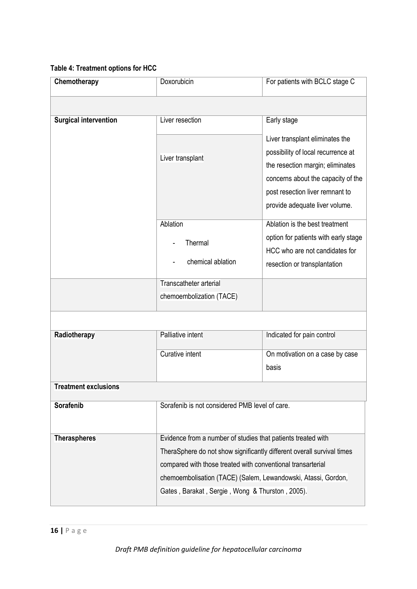# **Table 4: Treatment options for HCC**

| Chemotherapy                 | Doxorubicin                                                                                                                           | For patients with BCLC stage C       |  |
|------------------------------|---------------------------------------------------------------------------------------------------------------------------------------|--------------------------------------|--|
|                              |                                                                                                                                       |                                      |  |
| <b>Surgical intervention</b> | Liver resection                                                                                                                       | Early stage                          |  |
|                              |                                                                                                                                       | Liver transplant eliminates the      |  |
|                              | Liver transplant                                                                                                                      | possibility of local recurrence at   |  |
|                              |                                                                                                                                       | the resection margin; eliminates     |  |
|                              |                                                                                                                                       | concerns about the capacity of the   |  |
|                              |                                                                                                                                       | post resection liver remnant to      |  |
|                              |                                                                                                                                       | provide adequate liver volume.       |  |
|                              | Ablation                                                                                                                              | Ablation is the best treatment       |  |
|                              | Thermal                                                                                                                               | option for patients with early stage |  |
|                              |                                                                                                                                       | HCC who are not candidates for       |  |
|                              | chemical ablation                                                                                                                     | resection or transplantation         |  |
|                              | Transcatheter arterial                                                                                                                |                                      |  |
|                              | chemoembolization (TACE)                                                                                                              |                                      |  |
|                              |                                                                                                                                       |                                      |  |
| Radiotherapy                 | Palliative intent                                                                                                                     | Indicated for pain control           |  |
|                              | <b>Curative intent</b>                                                                                                                | On motivation on a case by case      |  |
|                              |                                                                                                                                       | basis                                |  |
| <b>Treatment exclusions</b>  |                                                                                                                                       |                                      |  |
| Sorafenib                    | Sorafenib is not considered PMB level of care.                                                                                        |                                      |  |
| <b>Theraspheres</b>          | Evidence from a number of studies that patients treated with                                                                          |                                      |  |
|                              | TheraSphere do not show significantly different overall survival times<br>compared with those treated with conventional transarterial |                                      |  |
|                              |                                                                                                                                       |                                      |  |
|                              | chemoembolisation (TACE) (Salem, Lewandowski, Atassi, Gordon,<br>Gates, Barakat, Sergie, Wong & Thurston, 2005).                      |                                      |  |
|                              |                                                                                                                                       |                                      |  |
|                              |                                                                                                                                       |                                      |  |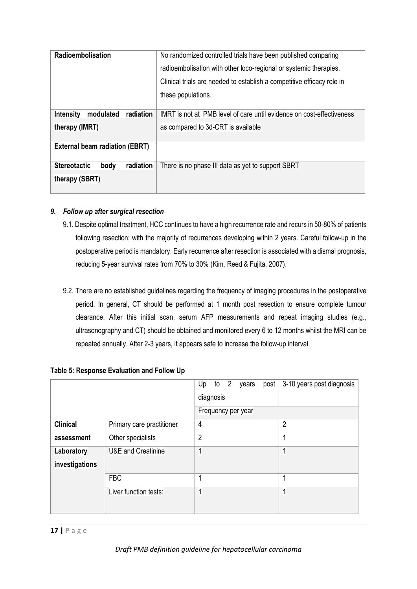| Radioembolisation                          | No randomized controlled trials have been published comparing          |  |
|--------------------------------------------|------------------------------------------------------------------------|--|
|                                            | radioembolisation with other loco-regional or systemic therapies.      |  |
|                                            | Clinical trials are needed to establish a competitive efficacy role in |  |
|                                            | these populations.                                                     |  |
|                                            |                                                                        |  |
| modulated<br>radiation<br><b>Intensity</b> | IMRT is not at PMB level of care until evidence on cost-effectiveness  |  |
| therapy (IMRT)                             | as compared to 3d-CRT is available                                     |  |
|                                            |                                                                        |  |
| <b>External beam radiation (EBRT)</b>      |                                                                        |  |
| <b>Stereotactic</b><br>radiation<br>body   | There is no phase III data as yet to support SBRT                      |  |
| therapy (SBRT)                             |                                                                        |  |

# *9. Follow up after surgical resection*

- 9.1. Despite optimal treatment, HCC continues to have a high recurrence rate and recurs in 50-80% of patients following resection; with the majority of recurrences developing within 2 years. Careful follow-up in the postoperative period is mandatory. Early recurrence after resection is associated with a dismal prognosis, reducing 5-year survival rates from 70% to 30% (Kim*,* Reed & Fujita, 2007).
- 9.2. There are no established guidelines regarding the frequency of imaging procedures in the postoperative period. In general, CT should be performed at 1 month post resection to ensure complete tumour clearance. After this initial scan, serum AFP measurements and repeat imaging studies (e.g., ultrasonography and CT) should be obtained and monitored every 6 to 12 months whilst the MRI can be repeated annually. After 2-3 years, it appears safe to increase the follow-up interval.

|                              |                               | to $2$<br>Up<br>post<br>years<br>diagnosis<br>Frequency per year | 3-10 years post diagnosis |
|------------------------------|-------------------------------|------------------------------------------------------------------|---------------------------|
| <b>Clinical</b>              | Primary care practitioner     | 4                                                                | $\overline{2}$            |
| assessment                   | Other specialists             | 2                                                                |                           |
| Laboratory<br>investigations | <b>U&amp;E</b> and Creatinine | 1                                                                | 1                         |
|                              | <b>FBC</b>                    | 1                                                                |                           |
|                              | Liver function tests:         | 1                                                                | 1                         |

# **Table 5: Response Evaluation and Follow Up**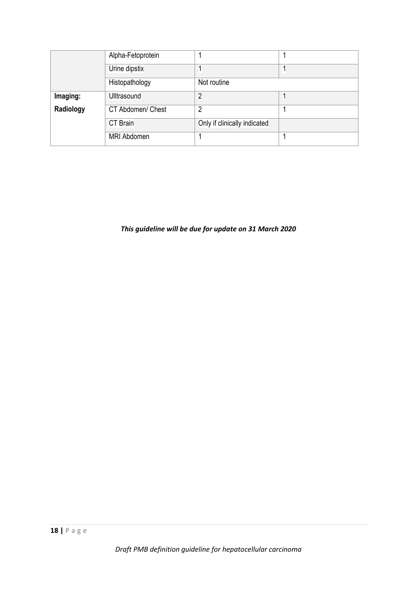|           | Alpha-Fetoprotein  |                              |  |
|-----------|--------------------|------------------------------|--|
|           | Urine dipstix      |                              |  |
|           | Histopathology     | Not routine                  |  |
| Imaging:  | <b>Ulltrasound</b> | 2                            |  |
| Radiology | CT Abdomen/ Chest  | $\overline{2}$               |  |
|           | <b>CT Brain</b>    | Only if clinically indicated |  |
|           | <b>MRI Abdomen</b> |                              |  |

*This guideline will be due for update on 31 March 2020*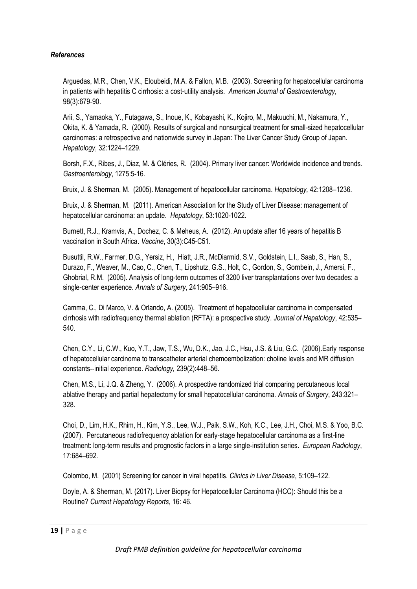## *References*

Arguedas, M.R., Chen, V.K., Eloubeidi, M.A. & Fallon, M.B. (2003). Screening for hepatocellular carcinoma in patients with hepatitis C cirrhosis: a cost-utility analysis. *American Journal of Gastroenterology,* 98(3):679-90.

Arii, S., Yamaoka, Y., Futagawa, S., Inoue, K., Kobayashi, K., Kojiro, M., Makuuchi, M., Nakamura, Y., Okita, K. & Yamada, R. (2000). Results of surgical and nonsurgical treatment for small-sized hepatocellular carcinomas: a retrospective and nationwide survey in Japan: The Liver Cancer Study Group of Japan. *Hepatology*, 32:1224–1229.

Borsh, F.X., Ribes, J., Diaz, M. & Cléries, R. (2004). Primary liver cancer: Worldwide incidence and trends. *Gastroenterology*, 1275:5-16.

Bruix, J. & Sherman, M. (2005). Management of hepatocellular carcinoma. *Hepatology,* 42:1208–1236.

Bruix, J. & Sherman, M. (2011). American Association for the Study of Liver Disease: management of hepatocellular carcinoma: an update. *Hepatology*, 53:1020-1022.

Burnett, R.J., Kramvis, A., Dochez, C. & Meheus, A. (2012). An update after 16 years of hepatitis B vaccination in South Africa. *Vaccine*, 30(3):C45-C51.

Busuttil, R.W., Farmer, D.G., Yersiz, H., Hiatt, J.R., McDiarmid, S.V., Goldstein, L.I., Saab, S., Han, S., Durazo, F., Weaver, M., Cao, C., Chen, T., Lipshutz, G.S., Holt, C., Gordon, S., Gornbein, J., Amersi, F., Ghobrial, R.M. (2005). Analysis of long-term outcomes of 3200 liver transplantations over two decades: a single-center experience. *Annals of Surgery*, 241:905–916.

Camma, C., Di Marco, V. & Orlando, A. (2005). Treatment of hepatocellular carcinoma in compensated cirrhosis with radiofrequency thermal ablation (RFTA): a prospective study. *Journal of Hepatology*, 42:535– 540.

Chen, C.Y., Li, C.W., Kuo, Y.T., Jaw, T.S., Wu, D.K., Jao, J.C., Hsu, J.S. & Liu, G.C. (2006).Early response of hepatocellular carcinoma to transcatheter arterial chemoembolization: choline levels and MR diffusion constants--initial experience. *Radiology,* 239(2):448–56.

Chen, M.S., Li, J.Q. & Zheng, Y. (2006). A prospective randomized trial comparing percutaneous local ablative therapy and partial hepatectomy for small hepatocellular carcinoma. *Annals of Surgery*, 243:321– 328.

Choi, D., Lim, H.K., Rhim, H., Kim, Y.S., Lee, W.J., Paik, S.W., Koh, K.C., Lee, J.H., Choi, M.S. & Yoo, B.C. (2007). Percutaneous radiofrequency ablation for early-stage hepatocellular carcinoma as a first-line treatment: long-term results and prognostic factors in a large single-institution series. *European Radiology*, 17:684–692.

Colombo, M. (2001) Screening for cancer in viral hepatitis. *Clinics in Liver Disease*, 5:109–122.

Doyle, A. & Sherman, M. (2017). Liver Biopsy for Hepatocellular Carcinoma (HCC): Should this be a Routine? *Current Hepatology Reports*, 16: 46.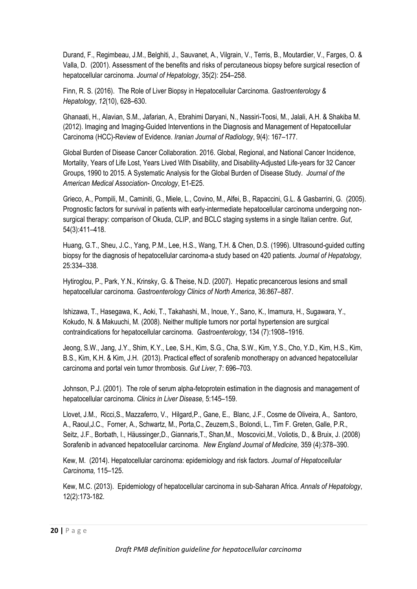Durand, F., Regimbeau, J.M., Belghiti, J., Sauvanet, A., Vilgrain, V., Terris, B., Moutardier, V., Farges, O. & Valla, D. (2001). Assessment of the benefits and risks of percutaneous biopsy before surgical resection of hepatocellular carcinoma. *Journal of Hepatology*, 35(2): 254–258.

Finn, R. S. (2016). The Role of Liver Biopsy in Hepatocellular Carcinoma. *Gastroenterology & Hepatology*, *12*(10), 628–630.

Ghanaati, H., Alavian, S.M., Jafarian, A., Ebrahimi Daryani, N., Nassiri-Toosi, M., Jalali, A.H. & Shakiba M. (2012). Imaging and Imaging-Guided Interventions in the Diagnosis and Management of Hepatocellular Carcinoma (HCC)-Review of Evidence. *Iranian Journal of Radiology*, 9(4): 167–177.

Global Burden of Disease Cancer Collaboration. 2016. Global, Regional, and National Cancer Incidence, Mortality, Years of Life Lost, Years Lived With Disability, and Disability-Adjusted Life-years for 32 Cancer Groups, 1990 to 2015. A Systematic Analysis for the Global Burden of Disease Study. *Journal of the American Medical Association- Oncology*, E1-E25.

Grieco, A., Pompili, M., Caminiti, G., Miele, L., Covino, M., Alfei, B., Rapaccini, G.L. & Gasbarrini, G. (2005). Prognostic factors for survival in patients with early-intermediate hepatocellular carcinoma undergoing nonsurgical therapy: comparison of Okuda, CLIP, and BCLC staging systems in a single Italian centre. *Gut*, 54(3):411–418.

Huang, G.T., Sheu, J.C., Yang, P.M., Lee, H.S., Wang, T.H. & Chen, D.S. (1996). Ultrasound-guided cutting biopsy for the diagnosis of hepatocellular carcinoma-a study based on 420 patients. *Journal of Hepatology*, 25:334–338.

Hytiroglou, P., Park, Y.N., Krinsky, G. & Theise, N.D. (2007). Hepatic precancerous lesions and small hepatocellular carcinoma. *Gastroenterology Clinics of North America*, 36:867–887.

Ishizawa, T., Hasegawa, K., Aoki, T., Takahashi, M., Inoue, Y., Sano, K., Imamura, H., Sugawara, Y., Kokudo, N. & Makuuchi, M. (2008). Neither multiple tumors nor portal hypertension are surgical contraindications for hepatocellular carcinoma. *Gastroenterology*, 134 (7):1908–1916.

Jeong, S.W., Jang, J.Y., Shim, K.Y., Lee, S.H., Kim, S.G., Cha, S.W., Kim, Y.S., Cho, Y.D., Kim, H.S., Kim, B.S., Kim, K.H. & Kim, J.H. (2013). Practical effect of sorafenib monotherapy on advanced hepatocellular carcinoma and portal vein tumor thrombosis. *Gut Liver*, 7: 696–703.

Johnson, P.J. (2001). The role of serum alpha-fetoprotein estimation in the diagnosis and management of hepatocellular carcinoma. *Clinics in Liver Disease,* 5:145–159.

Llovet, J.M., Ricci,S., Mazzaferro, V., Hilgard,P., Gane, E., Blanc, J.F., Cosme de Oliveira, A., Santoro, A., Raoul,J.C., Forner, A., Schwartz, M., Porta,C., Zeuzem,S., Bolondi, L., Tim F. Greten, Galle, P.R., Seitz, J.F., Borbath, I., Häussinger,D., Giannaris,T., Shan,M., Moscovici,M., Voliotis, D., & Bruix, J. (2008) Sorafenib in advanced hepatocellular carcinoma. *New England Journal of Medicine,* 359 (4):378–390.

Kew, M. (2014). Hepatocellular carcinoma: epidemiology and risk factors. *Journal of Hepatocellular Carcinoma,* 115–125.

Kew, M.C. (2013). Epidemiology of hepatocellular carcinoma in sub-Saharan Africa. *Annals of Hepatology*, 12(2):173-182.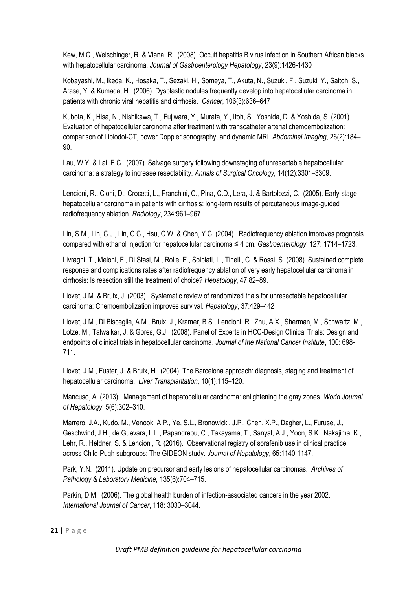Kew, M.C., Welschinger, R. & Viana, R. (2008). Occult hepatitis B virus infection in Southern African blacks with hepatocellular carcinoma. *Journal of Gastroenterology Hepatology*, 23(9):1426-1430

Kobayashi, M., Ikeda, K., Hosaka, T., Sezaki, H., Someya, T., Akuta, N., Suzuki, F., Suzuki, Y., Saitoh, S., Arase, Y. & Kumada, H. (2006). Dysplastic nodules frequently develop into hepatocellular carcinoma in patients with chronic viral hepatitis and cirrhosis. *Cancer*, 106(3):636–647

Kubota, K., Hisa, N., Nishikawa, T., Fujiwara, Y., Murata, Y., Itoh, S., Yoshida, D. & Yoshida, S. (2001). Evaluation of hepatocellular carcinoma after treatment with transcatheter arterial chemoembolization: comparison of Lipiodol-CT, power Doppler sonography, and dynamic MRI. *Abdominal Imaging*, 26(2):184– 90.

Lau, W.Y. & Lai, E.C. (2007). Salvage surgery following downstaging of unresectable hepatocellular carcinoma: a strategy to increase resectability. *Annals of Surgical Oncology,* 14(12):3301–3309.

Lencioni, R., Cioni, D., Crocetti, L., Franchini, C., Pina, C.D., Lera, J. & Bartolozzi, C. (2005). Early-stage hepatocellular carcinoma in patients with cirrhosis: long-term results of percutaneous image-guided radiofrequency ablation. *Radiology*, 234:961–967.

Lin, S.M., Lin, C.J., Lin, C.C., Hsu, C.W. & Chen, Y.C. (2004). Radiofrequency ablation improves prognosis compared with ethanol injection for hepatocellular carcinoma ≤ 4 cm. *Gastroenterology*, 127: 1714–1723.

Livraghi, T., Meloni, F., Di Stasi, M., Rolle, E., Solbiati, L., Tinelli, C. & Rossi, S. (2008). Sustained complete response and complications rates after radiofrequency ablation of very early hepatocellular carcinoma in cirrhosis: Is resection still the treatment of choice? *Hepatology*, 47:82–89.

Llovet, J.M. & Bruix, J. (2003). Systematic review of randomized trials for unresectable hepatocellular carcinoma: Chemoembolization improves survival. *Hepatology*, 37:429–442

Llovet, J.M., Di Bisceglie, A.M., Bruix, J., Kramer, B.S., Lencioni, R., Zhu, A.X., Sherman, M., Schwartz, M., Lotze, M., Talwalkar, J. & Gores, G.J. (2008). Panel of Experts in HCC-Design Clinical Trials: Design and endpoints of clinical trials in hepatocellular carcinoma. *Journal of the National Cancer Institute*, 100: 698- 711.

Llovet, J.M., Fuster, J. & Bruix, H. (2004). The Barcelona approach: diagnosis, staging and treatment of hepatocellular carcinoma. *Liver Transplantation*, 10(1):115–120.

Mancuso, A. (2013). Management of hepatocellular carcinoma: enlightening the gray zones. *World Journal of Hepatology*, 5(6):302–310.

Marrero, J.A., Kudo, M., Venook, A.P., Ye, S.L., Bronowicki, J.P., Chen, X.P., Dagher, L., Furuse, J., Geschwind, J.H., de Guevara, L.L., Papandreou, C., Takayama, T., Sanyal, A.J., Yoon, S.K., Nakajima, K., Lehr, R., Heldner, S. & Lencioni, R. (2016). Observational registry of sorafenib use in clinical practice across Child-Pugh subgroups: The GIDEON study. *Journal of Hepatology*, 65:1140-1147.

Park, Y.N. (2011). Update on precursor and early lesions of hepatocellular carcinomas. *Archives of Pathology & Laboratory Medicine,* 135(6):704–715.

Parkin, D.M. (2006). The global health burden of infection-associated cancers in the year 2002. *International Journal of Cancer*, 118: 3030–3044.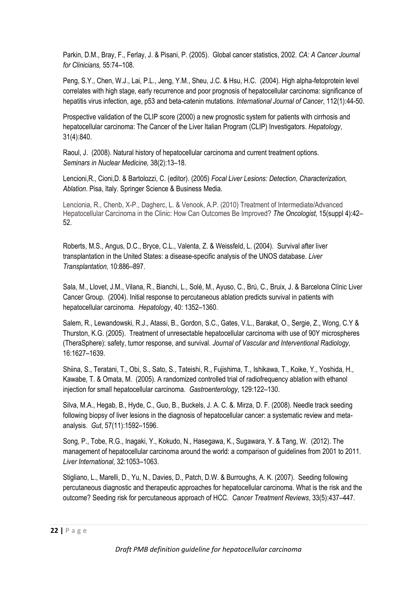Parkin, D.M., Bray, F., Ferlay, J. & Pisani, P. (2005). Global cancer statistics, 2002. *CA: A Cancer Journal for Clinicians,* 55:74–108.

Peng, S.Y., Chen, W.J., Lai, P.L., Jeng, Y.M., Sheu, J.C. & Hsu, H.C. (2004). High alpha-fetoprotein level correlates with high stage, early recurrence and poor prognosis of hepatocellular carcinoma: significance of hepatitis virus infection, age, p53 and beta-catenin mutations. *International Journal of Cancer*, 112(1):44-50.

Prospective validation of the CLIP score (2000) a new prognostic system for patients with cirrhosis and hepatocellular carcinoma: The Cancer of the Liver Italian Program (CLIP) Investigators. *Hepatology*, 31(4):840.

Raoul, J. (2008). Natural history of hepatocellular carcinoma and current treatment options. *Seminars in Nuclear Medicine,* 38(2):13–18.

Lencioni,R., Cioni,D. & Bartolozzi, C. (editor). (2005) *Focal Liver Lesions: Detection, Characterization, Ablation*. Pisa, Italy. Springer Science & Business Media.

Lencionia, R., Chenb, X-P., Dagherc, L. & Venook, A.P. (2010) Treatment of Intermediate/Advanced Hepatocellular Carcinoma in the Clinic: How Can Outcomes Be Improved? *The Oncologist*, 15(suppl 4):42– 52.

Roberts, M.S., Angus, D.C., Bryce, C.L., Valenta, Z. & Weissfeld, L. (2004). Survival after liver transplantation in the United States: a disease-specific analysis of the UNOS database. *Liver Transplantation,* 10:886–897.

Sala, M., Llovet, J.M., Vilana, R., Bianchi, L., Solé, M., Ayuso, C., Brú, C., Bruix, J. & Barcelona Clínic Liver Cancer Group. (2004). Initial response to percutaneous ablation predicts survival in patients with hepatocellular carcinoma. *Hepatology*, 40: 1352–1360.

Salem, R., Lewandowski, R.J., Atassi, B., Gordon, S.C., Gates, V.L., Barakat, O., Sergie, Z., Wong, C.Y & Thurston, K.G. (2005). Treatment of unresectable hepatocellular carcinoma with use of 90Y microspheres (TheraSphere): safety, tumor response, and survival. *Journal of Vascular and Interventional Radiology,* 16:1627–1639.

Shiina, S., Teratani, T., Obi, S., Sato, S., Tateishi, R., Fujishima, T., Ishikawa, T., Koike, Y., Yoshida, H., Kawabe, T. & Omata, M. (2005). A randomized controlled trial of radiofrequency ablation with ethanol injection for small hepatocellular carcinoma. *Gastroenterology*, 129:122–130.

Silva, M.A., Hegab, B., Hyde, C., Guo, B., Buckels, J. A. C. &. Mirza, D. F. (2008). Needle track seeding following biopsy of liver lesions in the diagnosis of hepatocellular cancer: a systematic review and metaanalysis. *Gut*, 57(11):1592–1596.

Song, P., Tobe, R.G., Inagaki, Y., Kokudo, N., Hasegawa, K., Sugawara, Y. & Tang, W. (2012). The management of hepatocellular carcinoma around the world: a comparison of guidelines from 2001 to 2011. *Liver International*, 32:1053–1063.

Stigliano, L., Marelli, D., Yu, N., Davies, D., Patch, D.W. & Burroughs, A. K. (2007). Seeding following percutaneous diagnostic and therapeutic approaches for hepatocellular carcinoma. What is the risk and the outcome? Seeding risk for percutaneous approach of HCC. *Cancer Treatment Reviews*, 33(5):437–447.